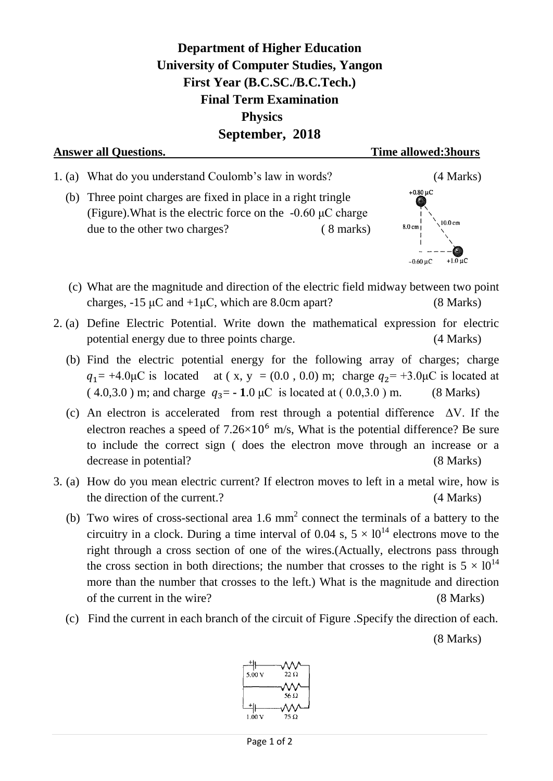**Department of Higher Education University of Computer Studies, Yangon First Year (B.C.SC./B.C.Tech.) Final Term Examination Physics September, 2018**



- (c) What are the magnitude and direction of the electric field midway between two point charges,  $-15 \mu$ C and  $+1 \mu$ C, which are 8.0cm apart? (8 Marks)
- 2. (a) Define Electric Potential. Write down the mathematical expression for electric potential energy due to three points charge. (4 Marks)
	- (b) Find the electric potential energy for the following array of charges; charge  $q_1 = +4.0 \mu C$  is located at (x, y = (0.0, 0.0) m; charge  $q_2 = +3.0 \mu C$  is located at  $(4.0,3.0)$  m; and charge  $q_3 = -1.0 \mu C$  is located at  $(0.0,3.0)$  m. (8 Marks)
	- (c) An electron is accelerated from rest through a potential difference  $\Delta V$ . If the electron reaches a speed of  $7.26 \times 10^6$  m/s, What is the potential difference? Be sure to include the correct sign ( does the electron move through an increase or a decrease in potential? (8 Marks)
- 3. (a) How do you mean electric current? If electron moves to left in a metal wire, how is the direction of the current.? (4 Marks)
	- (b) Two wires of cross-sectional area 1.6  $mm<sup>2</sup>$  connect the terminals of a battery to the circuitry in a clock. During a time interval of 0.04 s,  $5 \times 10^{14}$  electrons move to the right through a cross section of one of the wires.(Actually, electrons pass through the cross section in both directions; the number that crosses to the right is  $5 \times 10^{14}$ more than the number that crosses to the left.) What is the magnitude and direction of the current in the wire? (8 Marks)
	- (c) Find the current in each branch of the circuit of Figure .Specify the direction of each.

(8 Marks)